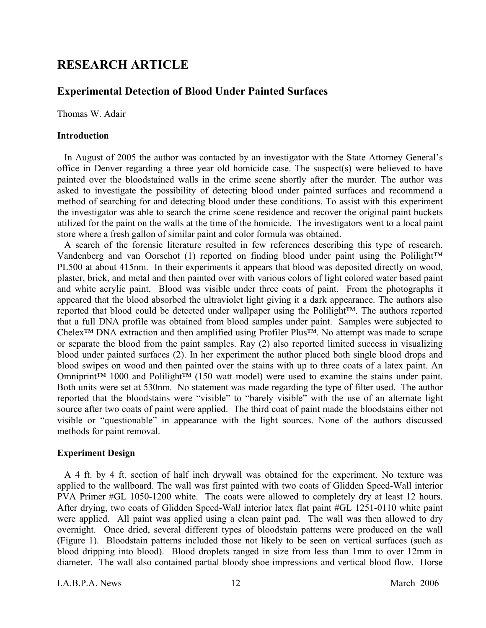# **RESEARCH ARTICLE**

## **Experimental Detection of Blood Under Painted Surfaces**

Thomas W. Adair

#### **Introduction**

In August of 2005 the author was contacted by an investigator with the State Attorney General's office in Denver regarding a three year old homicide case. The suspect(s) were believed to have painted over the bloodstained walls in the crime scene shortly after the murder. The author was asked to investigate the possibility of detecting blood under painted surfaces and recommend a method of searching for and detecting blood under these conditions. To assist with this experiment the investigator was able to search the crime scene residence and recover the original paint buckets utilized for the paint on the walls at the time of the homicide. The investigators went to a local paint store where a fresh gallon of similar paint and color formula was obtained.

A search of the forensic literature resulted in few references describing this type of research. Vandenberg and van Oorschot (1) reported on finding blood under paint using the Polilight™ PL500 at about 415nm. In their experiments it appears that blood was deposited directly on wood, plaster, brick, and metal and then painted over with various colors of light colored water based paint and white acrylic paint. Blood was visible under three coats of paint. From the photographs it appeared that the blood absorbed the ultraviolet light giving it a dark appearance. The authors also reported that blood could be detected under wallpaper using the Polilight™. The authors reported that a full DNA profile was obtained from blood samples under paint. Samples were subjected to Chelex™ DNA extraction and then amplified using Profiler Plus™. No attempt was made to scrape or separate the blood from the paint samples. Ray (2) also reported limited success in visualizing blood under painted surfaces (2). In her experiment the author placed both single blood drops and blood swipes on wood and then painted over the stains with up to three coats of a latex paint. An Omniprint™ 1000 and Polilight™ (150 watt model) were used to examine the stains under paint. Both units were set at 530nm. No statement was made regarding the type of filter used. The author reported that the bloodstains were "visible" to "barely visible" with the use of an alternate light source after two coats of paint were applied. The third coat of paint made the bloodstains either not visible or "questionable" in appearance with the light sources. None of the authors discussed methods for paint removal.

## **Experiment Design**

A 4 ft. by 4 ft. section of half inch drywall was obtained for the experiment. No texture was applied to the wallboard. The wall was first painted with two coats of Glidden Speed-Wall interior PVA Primer #GL 1050-1200 white. The coats were allowed to completely dry at least 12 hours. After drying, two coats of Glidden Speed-Wal*l* interior latex flat paint #GL 1251-0110 white paint were applied. All paint was applied using a clean paint pad. The wall was then allowed to dry overnight. Once dried, several different types of bloodstain patterns were produced on the wall (Figure 1). Bloodstain patterns included those not likely to be seen on vertical surfaces (such as blood dripping into blood). Blood droplets ranged in size from less than 1mm to over 12mm in diameter. The wall also contained partial bloody shoe impressions and vertical blood flow. Horse

I.A.B.P.A. News 12 March 2006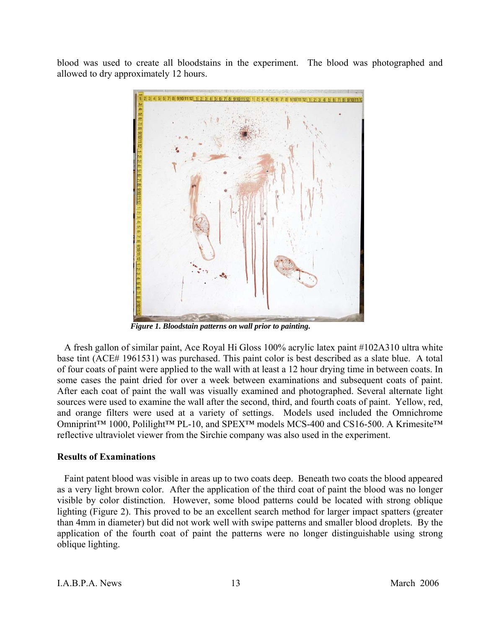blood was used to create all bloodstains in the experiment. The blood was photographed and allowed to dry approximately 12 hours.



*Figure 1. Bloodstain patterns on wall prior to painting.* 

A fresh gallon of similar paint, Ace Royal Hi Gloss 100% acrylic latex paint #102A310 ultra white base tint (ACE# 1961531) was purchased. This paint color is best described as a slate blue. A total of four coats of paint were applied to the wall with at least a 12 hour drying time in between coats. In some cases the paint dried for over a week between examinations and subsequent coats of paint. After each coat of paint the wall was visually examined and photographed. Several alternate light sources were used to examine the wall after the second, third, and fourth coats of paint. Yellow, red, and orange filters were used at a variety of settings. Models used included the Omnichrome Omniprint™ 1000, Polilight™ PL-10, and SPEX™ models MCS-400 and CS16-500. A Krimesite™ reflective ultraviolet viewer from the Sirchie company was also used in the experiment.

## **Results of Examinations**

Faint patent blood was visible in areas up to two coats deep. Beneath two coats the blood appeared as a very light brown color. After the application of the third coat of paint the blood was no longer visible by color distinction. However, some blood patterns could be located with strong oblique lighting (Figure 2). This proved to be an excellent search method for larger impact spatters (greater than 4mm in diameter) but did not work well with swipe patterns and smaller blood droplets. By the application of the fourth coat of paint the patterns were no longer distinguishable using strong oblique lighting.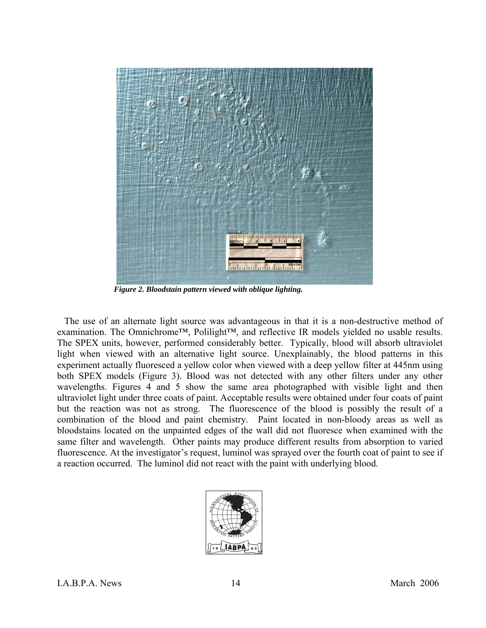

*Figure 2. Bloodstain pattern viewed with oblique lighting.* 

The use of an alternate light source was advantageous in that it is a non-destructive method of examination. The Omnichrome™, Polilight™, and reflective IR models yielded no usable results. The SPEX units, however, performed considerably better. Typically, blood will absorb ultraviolet light when viewed with an alternative light source. Unexplainably, the blood patterns in this experiment actually fluoresced a yellow color when viewed with a deep yellow filter at 445nm using both SPEX models (Figure 3). Blood was not detected with any other filters under any other wavelengths. Figures 4 and 5 show the same area photographed with visible light and then ultraviolet light under three coats of paint. Acceptable results were obtained under four coats of paint but the reaction was not as strong. The fluorescence of the blood is possibly the result of a combination of the blood and paint chemistry. Paint located in non-bloody areas as well as bloodstains located on the unpainted edges of the wall did not fluoresce when examined with the same filter and wavelength. Other paints may produce different results from absorption to varied fluorescence. At the investigator's request, luminol was sprayed over the fourth coat of paint to see if a reaction occurred. The luminol did not react with the paint with underlying blood.

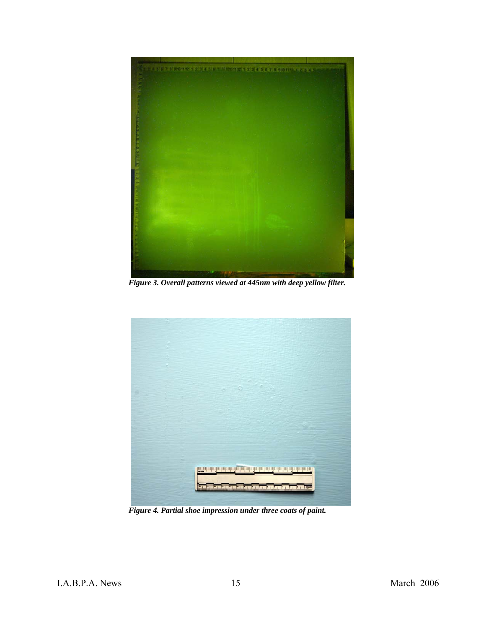

*Figure 3. Overall patterns viewed at 445nm with deep yellow filter.* 



*Figure 4. Partial shoe impression under three coats of paint.*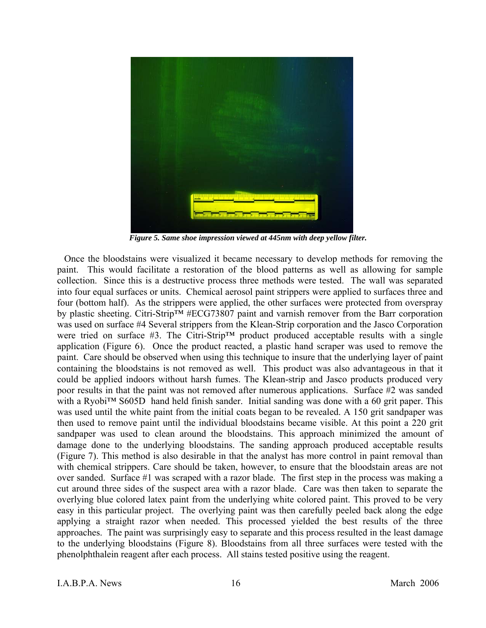

*Figure 5. Same shoe impression viewed at 445nm with deep yellow filter.* 

Once the bloodstains were visualized it became necessary to develop methods for removing the paint. This would facilitate a restoration of the blood patterns as well as allowing for sample collection. Since this is a destructive process three methods were tested. The wall was separated into four equal surfaces or units. Chemical aerosol paint strippers were applied to surfaces three and four (bottom half). As the strippers were applied, the other surfaces were protected from overspray by plastic sheeting. Citri-Strip™ #ECG73807 paint and varnish remover from the Barr corporation was used on surface #4 Several strippers from the Klean-Strip corporation and the Jasco Corporation were tried on surface #3. The Citri-Strip™ product produced acceptable results with a single application (Figure 6). Once the product reacted, a plastic hand scraper was used to remove the paint. Care should be observed when using this technique to insure that the underlying layer of paint containing the bloodstains is not removed as well. This product was also advantageous in that it could be applied indoors without harsh fumes. The Klean-strip and Jasco products produced very poor results in that the paint was not removed after numerous applications. Surface #2 was sanded with a Ryobi™ S605D hand held finish sander. Initial sanding was done with a 60 grit paper. This was used until the white paint from the initial coats began to be revealed. A 150 grit sandpaper was then used to remove paint until the individual bloodstains became visible. At this point a 220 grit sandpaper was used to clean around the bloodstains. This approach minimized the amount of damage done to the underlying bloodstains. The sanding approach produced acceptable results (Figure 7). This method is also desirable in that the analyst has more control in paint removal than with chemical strippers. Care should be taken, however, to ensure that the bloodstain areas are not over sanded. Surface #1 was scraped with a razor blade. The first step in the process was making a cut around three sides of the suspect area with a razor blade. Care was then taken to separate the overlying blue colored latex paint from the underlying white colored paint. This proved to be very easy in this particular project. The overlying paint was then carefully peeled back along the edge applying a straight razor when needed. This processed yielded the best results of the three approaches. The paint was surprisingly easy to separate and this process resulted in the least damage to the underlying bloodstains (Figure 8). Bloodstains from all three surfaces were tested with the phenolphthalein reagent after each process. All stains tested positive using the reagent.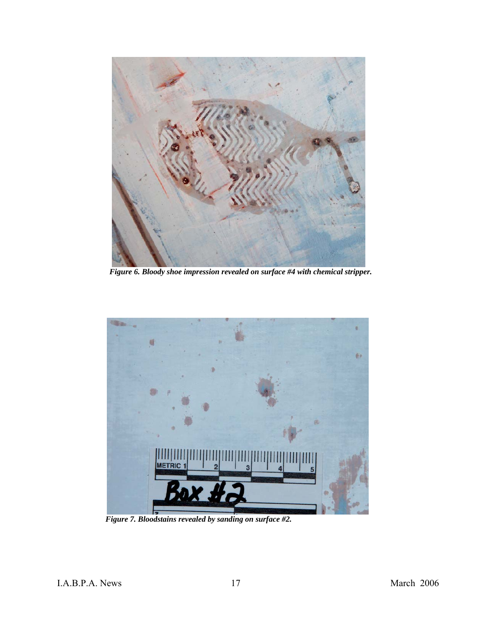

*Figure 6. Bloody shoe impression revealed on surface #4 with chemical stripper.* 



*Figure 7. Bloodstains revealed by sanding on surface #2.*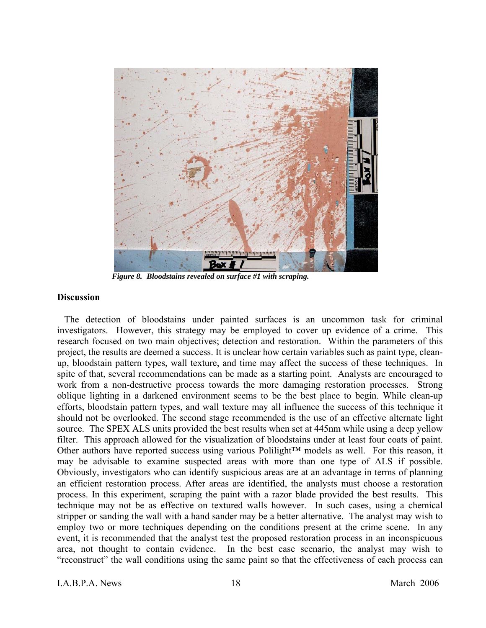

*Figure 8. Bloodstains revealed on surface #1 with scraping.* 

#### **Discussion**

The detection of bloodstains under painted surfaces is an uncommon task for criminal investigators. However, this strategy may be employed to cover up evidence of a crime. This research focused on two main objectives; detection and restoration. Within the parameters of this project, the results are deemed a success. It is unclear how certain variables such as paint type, cleanup, bloodstain pattern types, wall texture, and time may affect the success of these techniques. In spite of that, several recommendations can be made as a starting point. Analysts are encouraged to work from a non-destructive process towards the more damaging restoration processes. Strong oblique lighting in a darkened environment seems to be the best place to begin. While clean-up efforts, bloodstain pattern types, and wall texture may all influence the success of this technique it should not be overlooked. The second stage recommended is the use of an effective alternate light source. The SPEX ALS units provided the best results when set at 445nm while using a deep yellow filter. This approach allowed for the visualization of bloodstains under at least four coats of paint. Other authors have reported success using various Polilight™ models as well. For this reason, it may be advisable to examine suspected areas with more than one type of ALS if possible. Obviously, investigators who can identify suspicious areas are at an advantage in terms of planning an efficient restoration process. After areas are identified, the analysts must choose a restoration process. In this experiment, scraping the paint with a razor blade provided the best results. This technique may not be as effective on textured walls however. In such cases, using a chemical stripper or sanding the wall with a hand sander may be a better alternative. The analyst may wish to employ two or more techniques depending on the conditions present at the crime scene. In any event, it is recommended that the analyst test the proposed restoration process in an inconspicuous area, not thought to contain evidence. In the best case scenario, the analyst may wish to "reconstruct" the wall conditions using the same paint so that the effectiveness of each process can